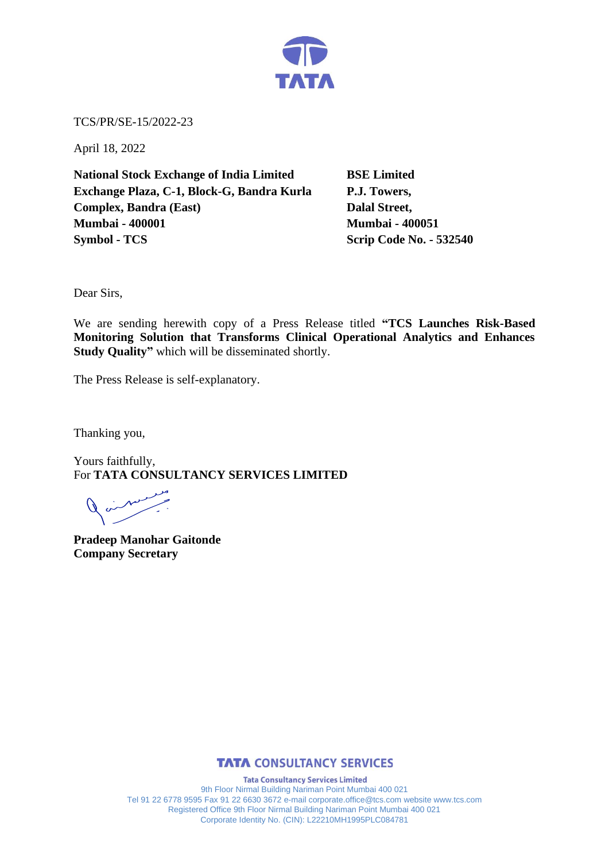

TCS/PR/SE-15/2022-23

April 18, 2022

**National Stock Exchange of India Limited BSE Limited Exchange Plaza, C-1, Block-G, Bandra Kurla P.J. Towers, Complex, Bandra (East)** Dalal Street, **Mumbai - 400001 Mumbai - 400051 Symbol - TCS Scrip Code No. - 532540** 

Dear Sirs,

We are sending herewith copy of a Press Release titled **"TCS Launches Risk-Based Monitoring Solution that Transforms Clinical Operational Analytics and Enhances Study Quality"** which will be disseminated shortly.

The Press Release is self-explanatory.

Thanking you,

Yours faithfully, For **TATA CONSULTANCY SERVICES LIMITED**

**Pradeep Manohar Gaitonde Company Secretary** 



**Tata Consultancy Services Limited** 9th Floor Nirmal Building Nariman Point Mumbai 400 021 Tel 91 22 6778 9595 Fax 91 22 6630 3672 e-mail corporate.office@tcs.com website www.tcs.com Registered Office 9th Floor Nirmal Building Nariman Point Mumbai 400 021 Corporate Identity No. (CIN): L22210MH1995PLC084781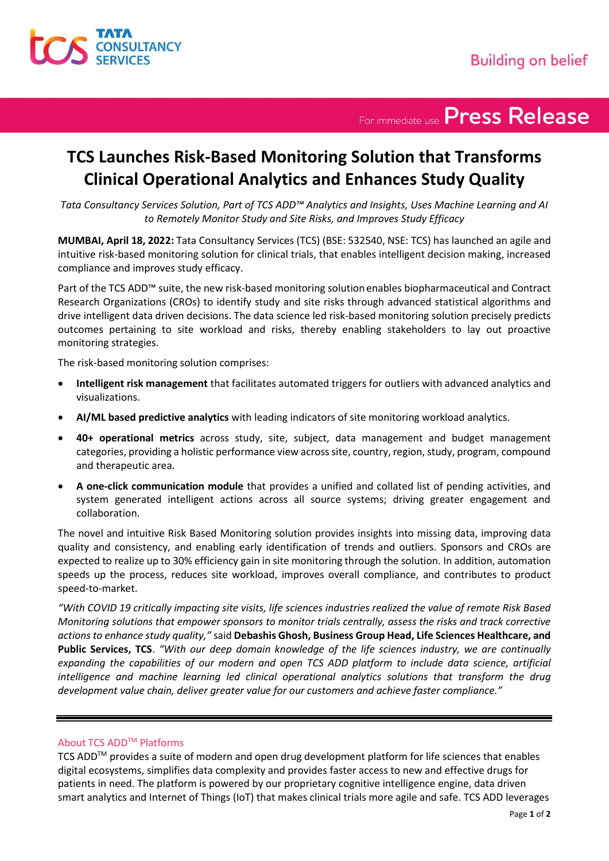

For immediate use Press Release

## **TCS Launches Risk-Based Monitoring Solution that Transforms Clinical Operational Analytics and Enhances Study Quality**

*Tata Consultancy Services Solution, Part of TCS ADD™ Analytics and Insights, Uses Machine Learning and AI to Remotely Monitor Study and Site Risks, and Improves Study Efficacy* 

**MUMBAI, April 18, 2022:** Tata Consultancy Services (TCS) (BSE: 532540, NSE: TCS) has launched an agile and intuitive risk-based monitoring solution for clinical trials, that enables intelligent decision making, increased compliance and improves study efficacy.

Part of the TCS ADD™ suite, the new risk-based monitoring solution enables biopharmaceutical and Contract Research Organizations (CROs) to identify study and site risks through advanced statistical algorithms and drive intelligent data driven decisions. The data science led risk-based monitoring solution precisely predicts outcomes pertaining to site workload and risks, thereby enabling stakeholders to lay out proactive monitoring strategies.

The risk-based monitoring solution comprises:

- **Intelligent risk management** that facilitates automated triggers for outliers with advanced analytics and visualizations.
- **AI/ML based predictive analytics** with leading indicators of site monitoring workload analytics.
- **40+ operational metrics** across study, site, subject, data management and budget management categories, providing a holistic performance view across site, country, region, study, program, compound and therapeutic area.
- **A one-click communication module** that provides a unified and collated list of pending activities, and system generated intelligent actions across all source systems; driving greater engagement and collaboration.

The novel and intuitive Risk Based Monitoring solution provides insights into missing data, improving data quality and consistency, and enabling early identification of trends and outliers. Sponsors and CROs are expected to realize up to 30% efficiency gain in site monitoring through the solution. In addition, automation speeds up the process, reduces site workload, improves overall compliance, and contributes to product speed-to-market.

*"With COVID 19 critically impacting site visits, life sciences industries realized the value of remote Risk Based Monitoring solutions that empower sponsors to monitor trials centrally, assess the risks and track corrective actions to enhance study quality,"* said **Debashis Ghosh, Business Group Head, Life Sciences Healthcare, and Public Services, TCS**. *"With our deep domain knowledge of the life sciences industry, we are continually expanding the capabilities of our modern and open TCS ADD platform to include data science, artificial intelligence and machine learning led clinical operational analytics solutions that transform the drug development value chain, deliver greater value for our customers and achieve faster compliance."*

### About TCS ADDTM Platforms

TCS ADDTM provides a suite of modern and open drug development platform for life sciences that enables digital ecosystems, simplifies data complexity and provides faster access to new and effective drugs for patients in need. The platform is powered by our proprietary cognitive intelligence engine, data driven smart analytics and Internet of Things (IoT) that makes clinical trials more agile and safe. TCS ADD leverages